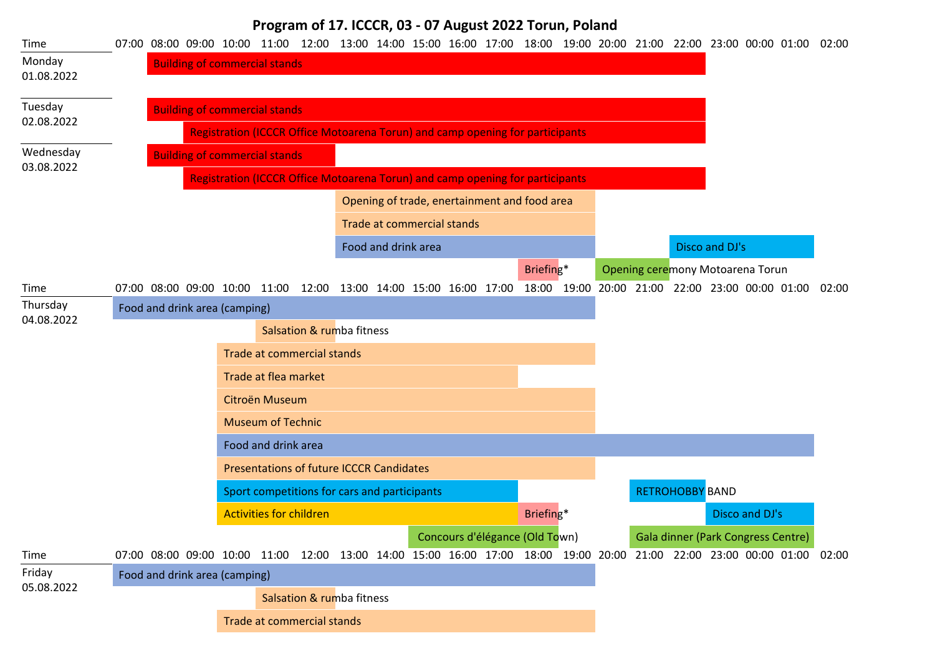## **Program of 17. ICCCR, 03 - 07 August 2022 Torun, Poland**

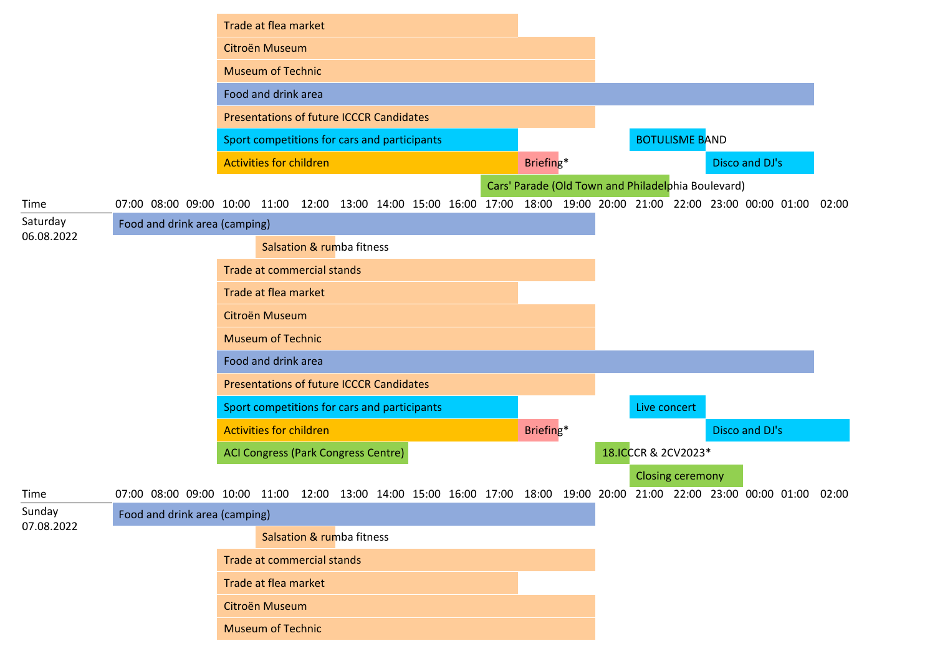|                        |                                                                                                                   | Trade at flea market                            |                           |  |  |                                                    |  |                     |                         |                |       |
|------------------------|-------------------------------------------------------------------------------------------------------------------|-------------------------------------------------|---------------------------|--|--|----------------------------------------------------|--|---------------------|-------------------------|----------------|-------|
|                        |                                                                                                                   | Citroën Museum                                  |                           |  |  |                                                    |  |                     |                         |                |       |
|                        |                                                                                                                   | <b>Museum of Technic</b>                        |                           |  |  |                                                    |  |                     |                         |                |       |
|                        |                                                                                                                   | Food and drink area                             |                           |  |  |                                                    |  |                     |                         |                |       |
|                        |                                                                                                                   | <b>Presentations of future ICCCR Candidates</b> |                           |  |  |                                                    |  |                     |                         |                |       |
|                        |                                                                                                                   | Sport competitions for cars and participants    |                           |  |  |                                                    |  |                     | <b>BOTULISME BAND</b>   |                |       |
|                        |                                                                                                                   | <b>Activities for children</b>                  |                           |  |  | Briefing*                                          |  |                     |                         | Disco and DJ's |       |
|                        |                                                                                                                   |                                                 |                           |  |  | Cars' Parade (Old Town and Philadelphia Boulevard) |  |                     |                         |                |       |
| Time                   | 07:00 08:00 09:00 10:00 11:00 12:00 13:00 14:00 15:00 16:00 17:00 18:00 19:00 20:00 21:00 22:00 23:00 00:00 01:00 |                                                 |                           |  |  |                                                    |  |                     |                         |                | 02:00 |
| Saturday<br>06.08.2022 | Food and drink area (camping)                                                                                     |                                                 |                           |  |  |                                                    |  |                     |                         |                |       |
|                        |                                                                                                                   |                                                 | Salsation & rumba fitness |  |  |                                                    |  |                     |                         |                |       |
|                        |                                                                                                                   | <b>Trade at commercial stands</b>               |                           |  |  |                                                    |  |                     |                         |                |       |
|                        |                                                                                                                   | Trade at flea market                            |                           |  |  |                                                    |  |                     |                         |                |       |
|                        |                                                                                                                   | Citroën Museum                                  |                           |  |  |                                                    |  |                     |                         |                |       |
|                        |                                                                                                                   | <b>Museum of Technic</b>                        |                           |  |  |                                                    |  |                     |                         |                |       |
|                        |                                                                                                                   | Food and drink area                             |                           |  |  |                                                    |  |                     |                         |                |       |
|                        |                                                                                                                   | <b>Presentations of future ICCCR Candidates</b> |                           |  |  |                                                    |  |                     |                         |                |       |
|                        |                                                                                                                   | Sport competitions for cars and participants    |                           |  |  |                                                    |  | Live concert        |                         |                |       |
|                        |                                                                                                                   | <b>Activities for children</b>                  |                           |  |  | Briefing*                                          |  |                     |                         | Disco and DJ's |       |
|                        |                                                                                                                   | ACI Congress (Park Congress Centre)             |                           |  |  |                                                    |  | 18.ICCCR & 2CV2023* |                         |                |       |
|                        |                                                                                                                   |                                                 |                           |  |  |                                                    |  |                     | <b>Closing ceremony</b> |                |       |
| Time                   | 07:00 08:00 09:00 10:00 11:00 12:00 13:00 14:00 15:00 16:00 17:00 18:00 19:00 20:00 21:00 22:00 23:00 00:00 01:00 |                                                 |                           |  |  |                                                    |  |                     |                         |                | 02:00 |
| Sunday<br>07.08.2022   | Food and drink area (camping)                                                                                     |                                                 |                           |  |  |                                                    |  |                     |                         |                |       |
|                        |                                                                                                                   |                                                 | Salsation & rumba fitness |  |  |                                                    |  |                     |                         |                |       |
|                        |                                                                                                                   | Trade at commercial stands                      |                           |  |  |                                                    |  |                     |                         |                |       |
|                        |                                                                                                                   | Trade at flea market                            |                           |  |  |                                                    |  |                     |                         |                |       |
|                        |                                                                                                                   | Citroën Museum                                  |                           |  |  |                                                    |  |                     |                         |                |       |
|                        |                                                                                                                   | <b>Museum of Technic</b>                        |                           |  |  |                                                    |  |                     |                         |                |       |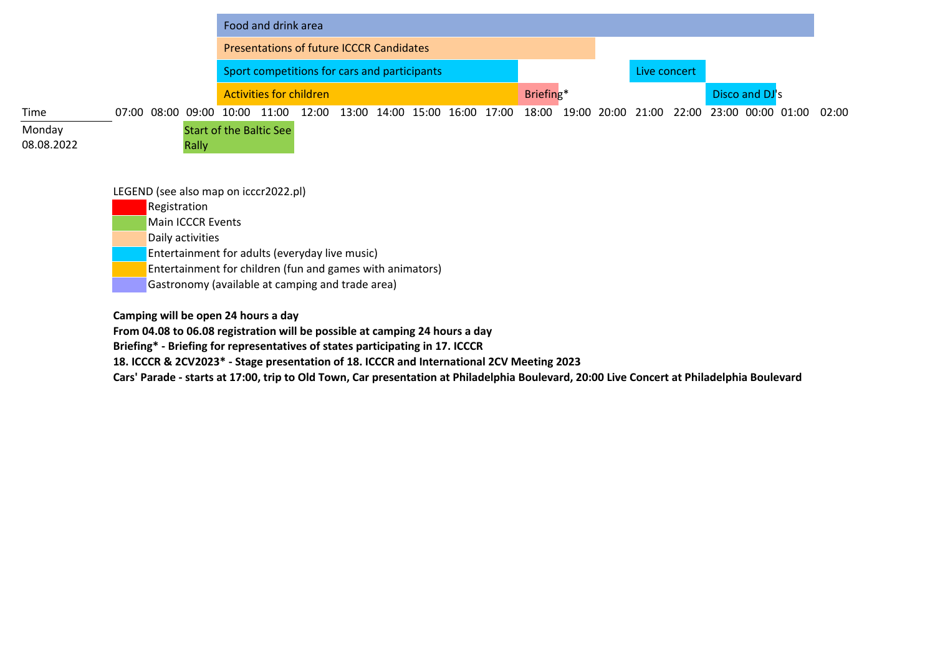|            |                                                       |       | Food and drink area                             |       |  |  |                               |           |             |              |                         |                |       |
|------------|-------------------------------------------------------|-------|-------------------------------------------------|-------|--|--|-------------------------------|-----------|-------------|--------------|-------------------------|----------------|-------|
|            |                                                       |       | <b>Presentations of future ICCCR Candidates</b> |       |  |  |                               |           |             |              |                         |                |       |
|            |                                                       |       | Sport competitions for cars and participants    |       |  |  |                               |           |             | Live concert |                         |                |       |
|            |                                                       |       | <b>Activities for children</b>                  |       |  |  |                               | Briefing* |             |              |                         | Disco and DJ's |       |
| Time       | 07:00 08:00 09:00 10:00                               |       | 11:00                                           | 12:00 |  |  | 13:00 14:00 15:00 16:00 17:00 | 18:00     | 19:00 20:00 | 21:00        | 22:00 23:00 00:00 01:00 |                | 02:00 |
| Monday     |                                                       |       | <b>Start of the Baltic See</b>                  |       |  |  |                               |           |             |              |                         |                |       |
| 08.08.2022 |                                                       | Rally |                                                 |       |  |  |                               |           |             |              |                         |                |       |
|            |                                                       |       |                                                 |       |  |  |                               |           |             |              |                         |                |       |
|            | LEGEND (see also map on icccr2022.pl)<br>Registration |       |                                                 |       |  |  |                               |           |             |              |                         |                |       |

**Main ICCCR Events** 

Daily activities

Entertainment for adults (everyday live music)

Entertainment for children (fun and games with animators)

Gastronomy (available at camping and trade area)

**Camping will be open 24 hours a day**

**From 04.08 to 06.08 registration will be possible at camping 24 hours a day**

**Briefing\* - Briefing for representatives of states participating in 17. ICCCR**

**18. ICCCR & 2CV2023\* - Stage presentation of 18. ICCCR and International 2CV Meeting 2023**

**Cars' Parade - starts at 17:00, trip to Old Town, Car presentation at Philadelphia Boulevard, 20:00 Live Concert at Philadelphia Boulevard**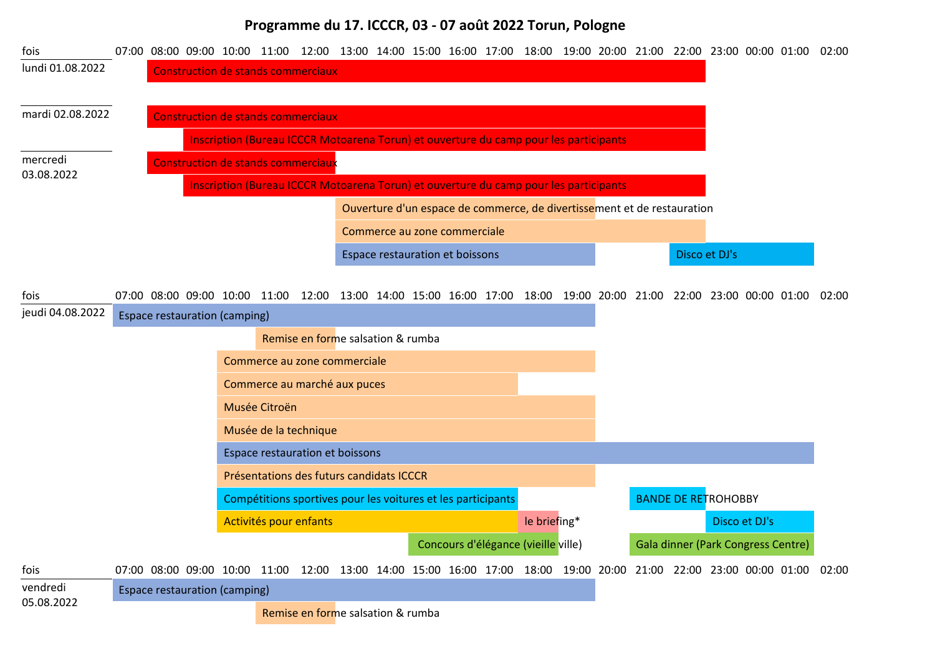## **Programme du 17. ICCCR, 03 - 07 août 2022 Torun, Pologne**

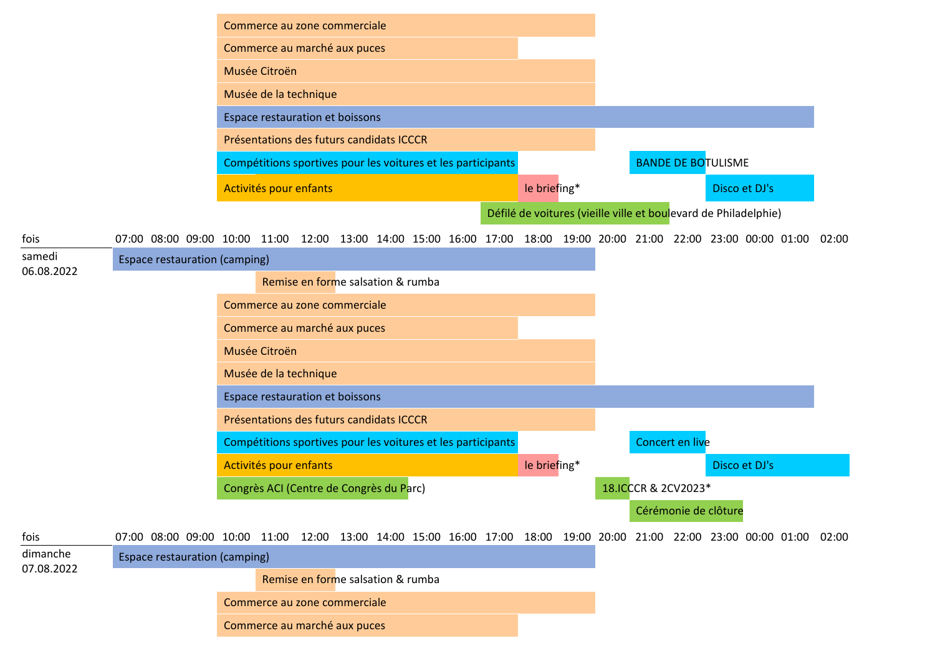|                        |                                                                                                                         | Commerce au zone commerciale                                 |  |  |  |                                                                 |  |                     |                 |                           |               |  |
|------------------------|-------------------------------------------------------------------------------------------------------------------------|--------------------------------------------------------------|--|--|--|-----------------------------------------------------------------|--|---------------------|-----------------|---------------------------|---------------|--|
|                        |                                                                                                                         | Commerce au marché aux puces                                 |  |  |  |                                                                 |  |                     |                 |                           |               |  |
|                        |                                                                                                                         | Musée Citroën                                                |  |  |  |                                                                 |  |                     |                 |                           |               |  |
|                        |                                                                                                                         | Musée de la technique                                        |  |  |  |                                                                 |  |                     |                 |                           |               |  |
|                        |                                                                                                                         | Espace restauration et boissons                              |  |  |  |                                                                 |  |                     |                 |                           |               |  |
|                        |                                                                                                                         | Présentations des futurs candidats ICCCR                     |  |  |  |                                                                 |  |                     |                 |                           |               |  |
|                        |                                                                                                                         | Compétitions sportives pour les voitures et les participants |  |  |  |                                                                 |  |                     |                 | <b>BANDE DE BOTULISME</b> |               |  |
|                        |                                                                                                                         | Activités pour enfants                                       |  |  |  | le briefing*                                                    |  |                     |                 |                           | Disco et DJ's |  |
|                        |                                                                                                                         |                                                              |  |  |  | Défilé de voitures (vieille ville et boulevard de Philadelphie) |  |                     |                 |                           |               |  |
| fois                   | 07:00 08:00 09:00 10:00 11:00 12:00 13:00 14:00 15:00 16:00 17:00 18:00 19:00 20:00 21:00 22:00 23:00 00:00 01:00 02:00 |                                                              |  |  |  |                                                                 |  |                     |                 |                           |               |  |
| samedi<br>06.08.2022   | <b>Espace restauration (camping)</b>                                                                                    |                                                              |  |  |  |                                                                 |  |                     |                 |                           |               |  |
|                        |                                                                                                                         | Remise en forme salsation & rumba                            |  |  |  |                                                                 |  |                     |                 |                           |               |  |
|                        |                                                                                                                         | Commerce au zone commerciale                                 |  |  |  |                                                                 |  |                     |                 |                           |               |  |
|                        |                                                                                                                         | Commerce au marché aux puces                                 |  |  |  |                                                                 |  |                     |                 |                           |               |  |
|                        |                                                                                                                         | Musée Citroën                                                |  |  |  |                                                                 |  |                     |                 |                           |               |  |
|                        |                                                                                                                         | Musée de la technique                                        |  |  |  |                                                                 |  |                     |                 |                           |               |  |
|                        |                                                                                                                         | Espace restauration et boissons                              |  |  |  |                                                                 |  |                     |                 |                           |               |  |
|                        |                                                                                                                         | Présentations des futurs candidats ICCCR                     |  |  |  |                                                                 |  |                     |                 |                           |               |  |
|                        |                                                                                                                         | Compétitions sportives pour les voitures et les participants |  |  |  |                                                                 |  |                     | Concert en live |                           |               |  |
|                        |                                                                                                                         | Activités pour enfants                                       |  |  |  | le briefing*                                                    |  |                     |                 |                           | Disco et DJ's |  |
|                        |                                                                                                                         | Congrès ACI (Centre de Congrès du Parc)                      |  |  |  |                                                                 |  | 18.ICCCR & 2CV2023* |                 |                           |               |  |
|                        |                                                                                                                         |                                                              |  |  |  |                                                                 |  |                     |                 | Cérémonie de clôture      |               |  |
| fois                   | 07:00 08:00 09:00 10:00 11:00 12:00 13:00 14:00 15:00 16:00 17:00 18:00 19:00 20:00 21:00 22:00 23:00 00:00 01:00 02:00 |                                                              |  |  |  |                                                                 |  |                     |                 |                           |               |  |
| dimanche<br>07.08.2022 | <b>Espace restauration (camping)</b>                                                                                    |                                                              |  |  |  |                                                                 |  |                     |                 |                           |               |  |
|                        |                                                                                                                         | Remise en forme salsation & rumba                            |  |  |  |                                                                 |  |                     |                 |                           |               |  |
|                        |                                                                                                                         | Commerce au zone commerciale                                 |  |  |  |                                                                 |  |                     |                 |                           |               |  |
|                        |                                                                                                                         | Commerce au marché aux puces                                 |  |  |  |                                                                 |  |                     |                 |                           |               |  |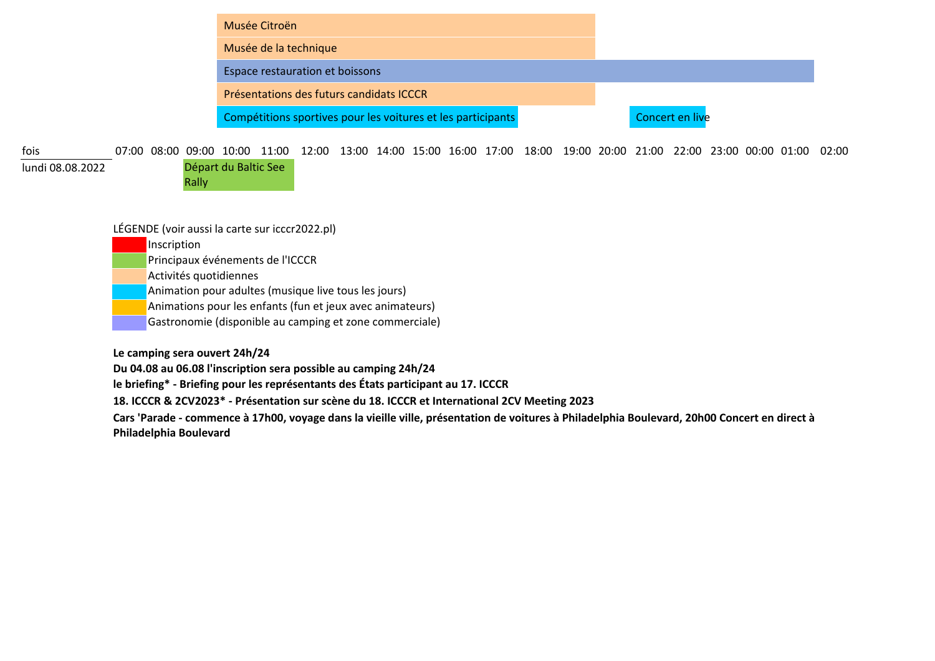| Musée Citroën                                                |                 |
|--------------------------------------------------------------|-----------------|
| Musée de la technique                                        |                 |
| Espace restauration et boissons                              |                 |
| Présentations des futurs candidats ICCCR                     |                 |
| Compétitions sportives pour les voitures et les participants | Concert en live |

07:00 08:00 09:00 10:00 11:00 12:00 13:00 14:00 15:00 16:00 17:00 18:00 19:00 20:00 21:00 22:00 23:00 00:00 01:00 02:00 fois

lundi 08.08.2022 Départ du Baltic See Rally

LÉGENDE (voir aussi la carte sur icccr2022.pl)

**Inscription** 

Principaux événements de l'ICCCR

Activités quotidiennes

Animation pour adultes (musique live tous les jours)

Animations pour les enfants (fun et jeux avec animateurs)

Gastronomie (disponible au camping et zone commerciale)

**Le camping sera ouvert 24h/24**

**Du 04.08 au 06.08 l'inscription sera possible au camping 24h/24**

**le briefing\* - Briefing pour les représentants des États participant au 17. ICCCR**

**18. ICCCR & 2CV2023\* - Présentation sur scène du 18. ICCCR et International 2CV Meeting 2023**

**Cars 'Parade - commence à 17h00, voyage dans la vieille ville, présentation de voitures à Philadelphia Boulevard, 20h00 Concert en direct à Philadelphia Boulevard**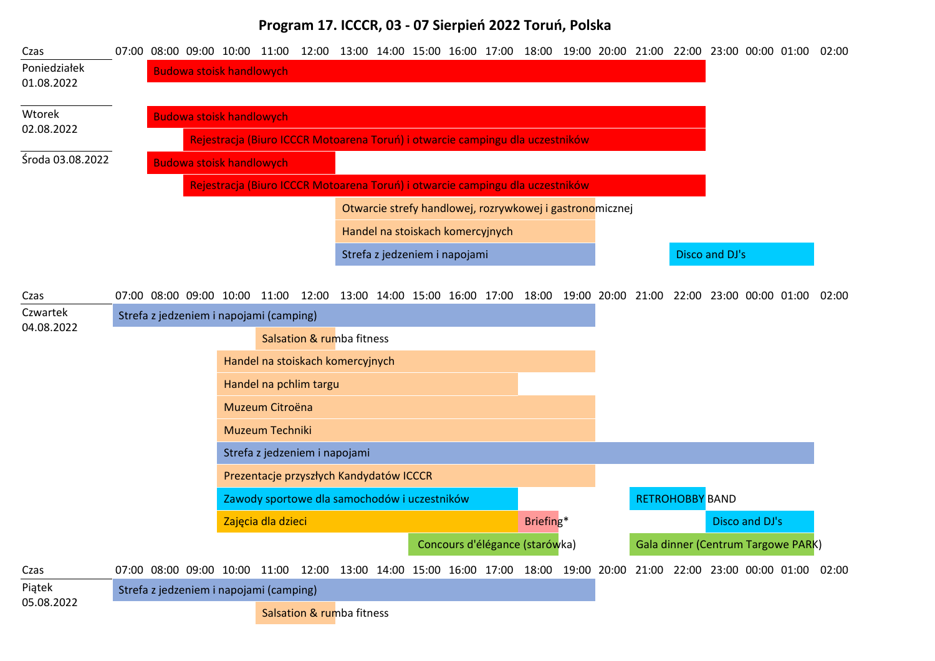## **Program 17. ICCCR, 03 - 07 Sierpień 2022 Toruń, Polska**

| Czas                       |  |                                 |                                         | 07:00 08:00 09:00 10:00 11:00 12:00 13:00 14:00 15:00 16:00 17:00 18:00 19:00 20:00 21:00 22:00 23:00 00:00 01:00 02:00 |  |                                  |  |                                                          |  |                        |                                    |                |  |
|----------------------------|--|---------------------------------|-----------------------------------------|-------------------------------------------------------------------------------------------------------------------------|--|----------------------------------|--|----------------------------------------------------------|--|------------------------|------------------------------------|----------------|--|
| Poniedziałek<br>01.08.2022 |  | <b>Budowa stoisk handlowych</b> |                                         |                                                                                                                         |  |                                  |  |                                                          |  |                        |                                    |                |  |
| Wtorek                     |  | <b>Budowa stoisk handlowych</b> |                                         |                                                                                                                         |  |                                  |  |                                                          |  |                        |                                    |                |  |
| 02.08.2022                 |  |                                 |                                         | Rejestracja (Biuro ICCCR Motoarena Toruń) i otwarcie campingu dla uczestników                                           |  |                                  |  |                                                          |  |                        |                                    |                |  |
| Środa 03.08.2022           |  | <b>Budowa stoisk handlowych</b> |                                         |                                                                                                                         |  |                                  |  |                                                          |  |                        |                                    |                |  |
|                            |  |                                 |                                         | Rejestracja (Biuro ICCCR Motoarena Toruń) i otwarcie campingu dla uczestników                                           |  |                                  |  |                                                          |  |                        |                                    |                |  |
|                            |  |                                 |                                         |                                                                                                                         |  |                                  |  | Otwarcie strefy handlowej, rozrywkowej i gastronomicznej |  |                        |                                    |                |  |
|                            |  |                                 |                                         |                                                                                                                         |  | Handel na stoiskach komercyjnych |  |                                                          |  |                        |                                    |                |  |
|                            |  |                                 |                                         |                                                                                                                         |  | Strefa z jedzeniem i napojami    |  |                                                          |  |                        | Disco and DJ's                     |                |  |
|                            |  |                                 |                                         |                                                                                                                         |  |                                  |  |                                                          |  |                        |                                    |                |  |
| Czas                       |  |                                 |                                         | 07:00 08:00 09:00 10:00 11:00 12:00 13:00 14:00 15:00 16:00 17:00 18:00 19:00 20:00 21:00 22:00 23:00 00:00 01:00 02:00 |  |                                  |  |                                                          |  |                        |                                    |                |  |
| Czwartek<br>04.08.2022     |  |                                 | Strefa z jedzeniem i napojami (camping) |                                                                                                                         |  |                                  |  |                                                          |  |                        |                                    |                |  |
|                            |  |                                 |                                         | Salsation & rumba fitness                                                                                               |  |                                  |  |                                                          |  |                        |                                    |                |  |
|                            |  |                                 |                                         | Handel na stoiskach komercyjnych                                                                                        |  |                                  |  |                                                          |  |                        |                                    |                |  |
|                            |  |                                 |                                         | Handel na pchlim targu                                                                                                  |  |                                  |  |                                                          |  |                        |                                    |                |  |
|                            |  |                                 | Muzeum Citroëna                         |                                                                                                                         |  |                                  |  |                                                          |  |                        |                                    |                |  |
|                            |  |                                 | Muzeum Techniki                         |                                                                                                                         |  |                                  |  |                                                          |  |                        |                                    |                |  |
|                            |  |                                 |                                         | Strefa z jedzeniem i napojami                                                                                           |  |                                  |  |                                                          |  |                        |                                    |                |  |
|                            |  |                                 |                                         | Prezentacje przyszłych Kandydatów ICCCR                                                                                 |  |                                  |  |                                                          |  |                        |                                    |                |  |
|                            |  |                                 |                                         | Zawody sportowe dla samochodów i uczestników                                                                            |  |                                  |  |                                                          |  | <b>RETROHOBBY BAND</b> |                                    |                |  |
|                            |  |                                 | Zajęcia dla dzieci                      |                                                                                                                         |  |                                  |  | Briefing*                                                |  |                        |                                    | Disco and DJ's |  |
|                            |  |                                 |                                         |                                                                                                                         |  |                                  |  | Concours d'élégance (starówka)                           |  |                        | Gala dinner (Centrum Targowe PARK) |                |  |
| Czas                       |  |                                 |                                         | 07:00 08:00 09:00 10:00 11:00 12:00 13:00 14:00 15:00 16:00 17:00 18:00 19:00 20:00 21:00 22:00 23:00 00:00 01:00 02:00 |  |                                  |  |                                                          |  |                        |                                    |                |  |
| Piątek                     |  |                                 | Strefa z jedzeniem i napojami (camping) |                                                                                                                         |  |                                  |  |                                                          |  |                        |                                    |                |  |
| 05.08.2022                 |  |                                 |                                         | Salsation & rumba fitness                                                                                               |  |                                  |  |                                                          |  |                        |                                    |                |  |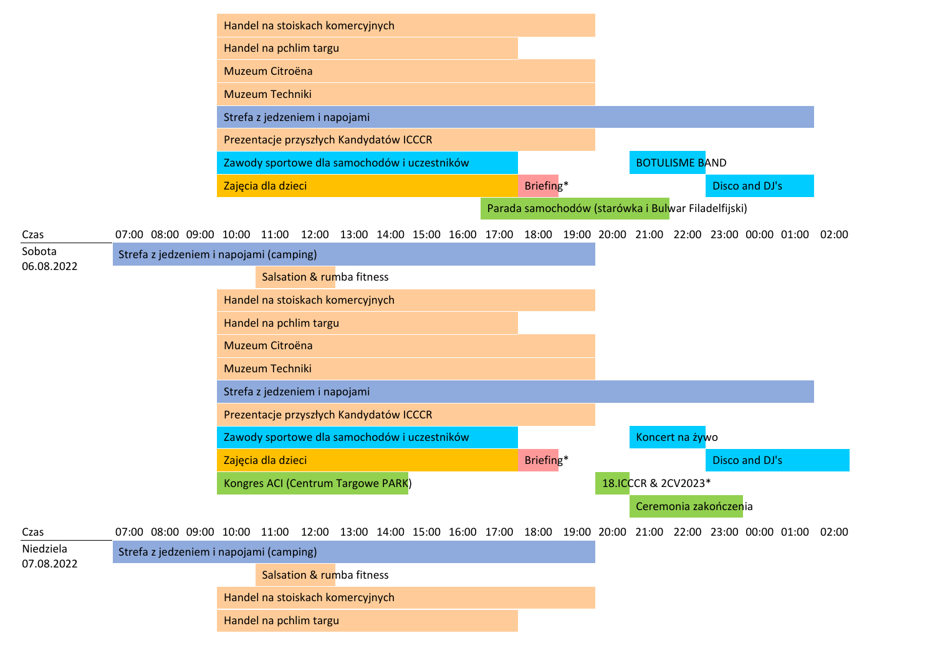|                         |                                                                                                                   | Handel na stoiskach komercyjnych             |  |  |  |           |  |                                                     |                       |                |       |
|-------------------------|-------------------------------------------------------------------------------------------------------------------|----------------------------------------------|--|--|--|-----------|--|-----------------------------------------------------|-----------------------|----------------|-------|
|                         |                                                                                                                   | Handel na pchlim targu                       |  |  |  |           |  |                                                     |                       |                |       |
|                         |                                                                                                                   | Muzeum Citroëna                              |  |  |  |           |  |                                                     |                       |                |       |
|                         |                                                                                                                   | Muzeum Techniki                              |  |  |  |           |  |                                                     |                       |                |       |
|                         |                                                                                                                   | Strefa z jedzeniem i napojami                |  |  |  |           |  |                                                     |                       |                |       |
|                         |                                                                                                                   | Prezentacje przyszłych Kandydatów ICCCR      |  |  |  |           |  |                                                     |                       |                |       |
|                         |                                                                                                                   | Zawody sportowe dla samochodów i uczestników |  |  |  |           |  |                                                     | <b>BOTULISME BAND</b> |                |       |
|                         |                                                                                                                   | Zajęcia dla dzieci                           |  |  |  | Briefing* |  |                                                     |                       | Disco and DJ's |       |
|                         |                                                                                                                   |                                              |  |  |  |           |  | Parada samochodów (starówka i Bulwar Filadelfijski) |                       |                |       |
| Czas                    | 07:00 08:00 09:00 10:00 11:00 12:00 13:00 14:00 15:00 16:00 17:00 18:00 19:00 20:00 21:00 22:00 23:00 00:00 01:00 |                                              |  |  |  |           |  |                                                     |                       |                | 02:00 |
| Sobota<br>06.08.2022    | Strefa z jedzeniem i napojami (camping)                                                                           |                                              |  |  |  |           |  |                                                     |                       |                |       |
|                         |                                                                                                                   | Salsation & rumba fitness                    |  |  |  |           |  |                                                     |                       |                |       |
|                         |                                                                                                                   | Handel na stoiskach komercyjnych             |  |  |  |           |  |                                                     |                       |                |       |
|                         |                                                                                                                   | Handel na pchlim targu                       |  |  |  |           |  |                                                     |                       |                |       |
|                         |                                                                                                                   | Muzeum Citroëna                              |  |  |  |           |  |                                                     |                       |                |       |
|                         |                                                                                                                   | Muzeum Techniki                              |  |  |  |           |  |                                                     |                       |                |       |
|                         |                                                                                                                   | Strefa z jedzeniem i napojami                |  |  |  |           |  |                                                     |                       |                |       |
|                         |                                                                                                                   | Prezentacje przyszłych Kandydatów ICCCR      |  |  |  |           |  |                                                     |                       |                |       |
|                         |                                                                                                                   | Zawody sportowe dla samochodów i uczestników |  |  |  |           |  |                                                     | Koncert na żywo       |                |       |
|                         |                                                                                                                   | Zajęcia dla dzieci                           |  |  |  | Briefing* |  |                                                     |                       | Disco and DJ's |       |
|                         |                                                                                                                   | Kongres ACI (Centrum Targowe PARK)           |  |  |  |           |  | 18.ICCCR & 2CV2023*                                 |                       |                |       |
|                         |                                                                                                                   |                                              |  |  |  |           |  |                                                     | Ceremonia zakończenia |                |       |
| Czas                    | 07:00 08:00 09:00 10:00 11:00 12:00 13:00 14:00 15:00 16:00 17:00 18:00 19:00 20:00 21:00 22:00 23:00 00:00 01:00 |                                              |  |  |  |           |  |                                                     |                       |                | 02:00 |
| Niedziela<br>07.08.2022 | Strefa z jedzeniem i napojami (camping)                                                                           |                                              |  |  |  |           |  |                                                     |                       |                |       |
|                         |                                                                                                                   | Salsation & rumba fitness                    |  |  |  |           |  |                                                     |                       |                |       |
|                         |                                                                                                                   | Handel na stoiskach komercyjnych             |  |  |  |           |  |                                                     |                       |                |       |
|                         |                                                                                                                   | Handel na pchlim targu                       |  |  |  |           |  |                                                     |                       |                |       |
|                         |                                                                                                                   |                                              |  |  |  |           |  |                                                     |                       |                |       |